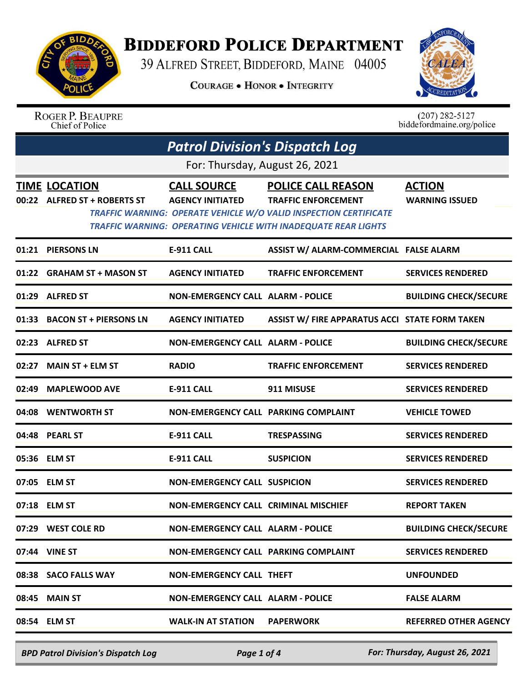

## **BIDDEFORD POLICE DEPARTMENT**

39 ALFRED STREET, BIDDEFORD, MAINE 04005

**COURAGE . HONOR . INTEGRITY** 



ROGER P. BEAUPRE Chief of Police

 $(207)$  282-5127<br>biddefordmaine.org/police

| <b>Patrol Division's Dispatch Log</b> |                                                      |                                               |                                                                                                                                                                                                              |                                        |  |
|---------------------------------------|------------------------------------------------------|-----------------------------------------------|--------------------------------------------------------------------------------------------------------------------------------------------------------------------------------------------------------------|----------------------------------------|--|
| For: Thursday, August 26, 2021        |                                                      |                                               |                                                                                                                                                                                                              |                                        |  |
|                                       | <b>TIME LOCATION</b><br>00:22 ALFRED ST + ROBERTS ST | <b>CALL SOURCE</b><br><b>AGENCY INITIATED</b> | <b>POLICE CALL REASON</b><br><b>TRAFFIC ENFORCEMENT</b><br><b>TRAFFIC WARNING: OPERATE VEHICLE W/O VALID INSPECTION CERTIFICATE</b><br><b>TRAFFIC WARNING: OPERATING VEHICLE WITH INADEQUATE REAR LIGHTS</b> | <b>ACTION</b><br><b>WARNING ISSUED</b> |  |
|                                       | 01:21 PIERSONS LN                                    | <b>E-911 CALL</b>                             | ASSIST W/ ALARM-COMMERCIAL FALSE ALARM                                                                                                                                                                       |                                        |  |
|                                       | 01:22 GRAHAM ST + MASON ST                           | <b>AGENCY INITIATED</b>                       | <b>TRAFFIC ENFORCEMENT</b>                                                                                                                                                                                   | <b>SERVICES RENDERED</b>               |  |
|                                       | 01:29 ALFRED ST                                      | <b>NON-EMERGENCY CALL ALARM - POLICE</b>      |                                                                                                                                                                                                              | <b>BUILDING CHECK/SECURE</b>           |  |
|                                       | 01:33 BACON ST + PIERSONS LN                         | <b>AGENCY INITIATED</b>                       | ASSIST W/ FIRE APPARATUS ACCI STATE FORM TAKEN                                                                                                                                                               |                                        |  |
|                                       | 02:23 ALFRED ST                                      | NON-EMERGENCY CALL ALARM - POLICE             |                                                                                                                                                                                                              | <b>BUILDING CHECK/SECURE</b>           |  |
|                                       | 02:27 MAIN ST + ELM ST                               | <b>RADIO</b>                                  | <b>TRAFFIC ENFORCEMENT</b>                                                                                                                                                                                   | <b>SERVICES RENDERED</b>               |  |
|                                       | 02:49 MAPLEWOOD AVE                                  | <b>E-911 CALL</b>                             | 911 MISUSE                                                                                                                                                                                                   | <b>SERVICES RENDERED</b>               |  |
|                                       | 04:08 WENTWORTH ST                                   | NON-EMERGENCY CALL PARKING COMPLAINT          |                                                                                                                                                                                                              | <b>VEHICLE TOWED</b>                   |  |
|                                       | 04:48 PEARL ST                                       | <b>E-911 CALL</b>                             | <b>TRESPASSING</b>                                                                                                                                                                                           | <b>SERVICES RENDERED</b>               |  |
|                                       | 05:36 ELM ST                                         | <b>E-911 CALL</b>                             | <b>SUSPICION</b>                                                                                                                                                                                             | <b>SERVICES RENDERED</b>               |  |
|                                       | 07:05 ELM ST                                         | <b>NON-EMERGENCY CALL SUSPICION</b>           |                                                                                                                                                                                                              | <b>SERVICES RENDERED</b>               |  |
|                                       | 07:18 ELM ST                                         | NON-EMERGENCY CALL CRIMINAL MISCHIEF          |                                                                                                                                                                                                              | <b>REPORT TAKEN</b>                    |  |
|                                       | 07:29 WEST COLE RD                                   | <b>NON-EMERGENCY CALL ALARM - POLICE</b>      |                                                                                                                                                                                                              | <b>BUILDING CHECK/SECURE</b>           |  |
|                                       | 07:44 VINE ST                                        | NON-EMERGENCY CALL PARKING COMPLAINT          |                                                                                                                                                                                                              | <b>SERVICES RENDERED</b>               |  |
|                                       | 08:38 SACO FALLS WAY                                 | <b>NON-EMERGENCY CALL THEFT</b>               |                                                                                                                                                                                                              | <b>UNFOUNDED</b>                       |  |
|                                       | 08:45 MAIN ST                                        | <b>NON-EMERGENCY CALL ALARM - POLICE</b>      |                                                                                                                                                                                                              | <b>FALSE ALARM</b>                     |  |
|                                       | 08:54 ELM ST                                         | <b>WALK-IN AT STATION</b>                     | <b>PAPERWORK</b>                                                                                                                                                                                             | <b>REFERRED OTHER AGENCY</b>           |  |

*BPD Patrol Division's Dispatch Log Page 1 of 4 For: Thursday, August 26, 2021*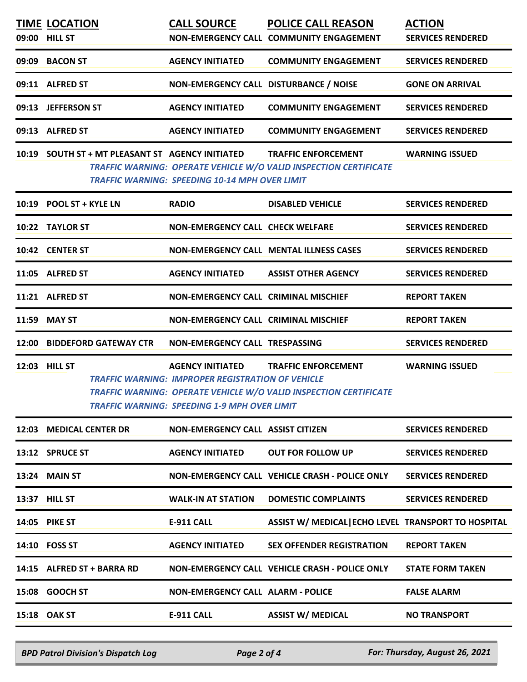| <b>TIME LOCATION</b><br>09:00 HILL ST            | <b>CALL SOURCE</b>                                                                                                                         | <b>POLICE CALL REASON</b><br>NON-EMERGENCY CALL COMMUNITY ENGAGEMENT                                   | <b>ACTION</b><br><b>SERVICES RENDERED</b> |
|--------------------------------------------------|--------------------------------------------------------------------------------------------------------------------------------------------|--------------------------------------------------------------------------------------------------------|-------------------------------------------|
| 09:09 BACON ST                                   | <b>AGENCY INITIATED</b>                                                                                                                    | <b>COMMUNITY ENGAGEMENT</b>                                                                            | <b>SERVICES RENDERED</b>                  |
| 09:11 ALFRED ST                                  | NON-EMERGENCY CALL DISTURBANCE / NOISE                                                                                                     |                                                                                                        | <b>GONE ON ARRIVAL</b>                    |
| 09:13 JEFFERSON ST                               | <b>AGENCY INITIATED</b>                                                                                                                    | <b>COMMUNITY ENGAGEMENT</b>                                                                            | <b>SERVICES RENDERED</b>                  |
| 09:13 ALFRED ST                                  | <b>AGENCY INITIATED</b>                                                                                                                    | <b>COMMUNITY ENGAGEMENT</b>                                                                            | <b>SERVICES RENDERED</b>                  |
| 10:19 SOUTH ST + MT PLEASANT ST AGENCY INITIATED | <b>TRAFFIC WARNING: SPEEDING 10-14 MPH OVER LIMIT</b>                                                                                      | <b>TRAFFIC ENFORCEMENT</b><br><b>TRAFFIC WARNING: OPERATE VEHICLE W/O VALID INSPECTION CERTIFICATE</b> | <b>WARNING ISSUED</b>                     |
| 10:19 POOL ST + KYLE LN                          | <b>RADIO</b>                                                                                                                               | <b>DISABLED VEHICLE</b>                                                                                | <b>SERVICES RENDERED</b>                  |
| 10:22 TAYLOR ST                                  | <b>NON-EMERGENCY CALL CHECK WELFARE</b>                                                                                                    |                                                                                                        | <b>SERVICES RENDERED</b>                  |
| 10:42 CENTER ST                                  |                                                                                                                                            | <b>NON-EMERGENCY CALL MENTAL ILLNESS CASES</b>                                                         | <b>SERVICES RENDERED</b>                  |
| 11:05 ALFRED ST                                  | <b>AGENCY INITIATED</b>                                                                                                                    | <b>ASSIST OTHER AGENCY</b>                                                                             | <b>SERVICES RENDERED</b>                  |
| 11:21 ALFRED ST                                  | <b>NON-EMERGENCY CALL CRIMINAL MISCHIEF</b>                                                                                                |                                                                                                        | <b>REPORT TAKEN</b>                       |
| 11:59 MAY ST                                     | NON-EMERGENCY CALL CRIMINAL MISCHIEF                                                                                                       |                                                                                                        | <b>REPORT TAKEN</b>                       |
| 12:00 BIDDEFORD GATEWAY CTR                      | NON-EMERGENCY CALL TRESPASSING                                                                                                             |                                                                                                        | <b>SERVICES RENDERED</b>                  |
| 12:03 HILL ST                                    | <b>AGENCY INITIATED</b><br><b>TRAFFIC WARNING: IMPROPER REGISTRATION OF VEHICLE</b><br><b>TRAFFIC WARNING: SPEEDING 1-9 MPH OVER LIMIT</b> | <b>TRAFFIC ENFORCEMENT</b><br>TRAFFIC WARNING: OPERATE VEHICLE W/O VALID INSPECTION CERTIFICATE        | <b>WARNING ISSUED</b>                     |
| 12:03 MEDICAL CENTER DR                          | <b>NON-EMERGENCY CALL ASSIST CITIZEN</b>                                                                                                   |                                                                                                        | <b>SERVICES RENDERED</b>                  |
| 13:12 SPRUCE ST                                  | <b>AGENCY INITIATED</b>                                                                                                                    | <b>OUT FOR FOLLOW UP</b>                                                                               | <b>SERVICES RENDERED</b>                  |
| 13:24 MAIN ST                                    |                                                                                                                                            | NON-EMERGENCY CALL VEHICLE CRASH - POLICE ONLY                                                         | <b>SERVICES RENDERED</b>                  |
| 13:37 HILL ST                                    | <b>WALK-IN AT STATION</b>                                                                                                                  | <b>DOMESTIC COMPLAINTS</b>                                                                             | <b>SERVICES RENDERED</b>                  |
| <b>14:05 PIKE ST</b>                             | <b>E-911 CALL</b>                                                                                                                          | ASSIST W/ MEDICAL   ECHO LEVEL TRANSPORT TO HOSPITAL                                                   |                                           |
| 14:10 FOSS ST                                    | <b>AGENCY INITIATED</b>                                                                                                                    | <b>SEX OFFENDER REGISTRATION</b>                                                                       | <b>REPORT TAKEN</b>                       |
| 14:15 ALFRED ST + BARRA RD                       |                                                                                                                                            | NON-EMERGENCY CALL VEHICLE CRASH - POLICE ONLY                                                         | <b>STATE FORM TAKEN</b>                   |
| 15:08 GOOCH ST                                   | <b>NON-EMERGENCY CALL ALARM - POLICE</b>                                                                                                   |                                                                                                        | <b>FALSE ALARM</b>                        |
| 15:18 OAK ST                                     | <b>E-911 CALL</b>                                                                                                                          | <b>ASSIST W/ MEDICAL</b>                                                                               | <b>NO TRANSPORT</b>                       |

*BPD Patrol Division's Dispatch Log Page 2 of 4 For: Thursday, August 26, 2021*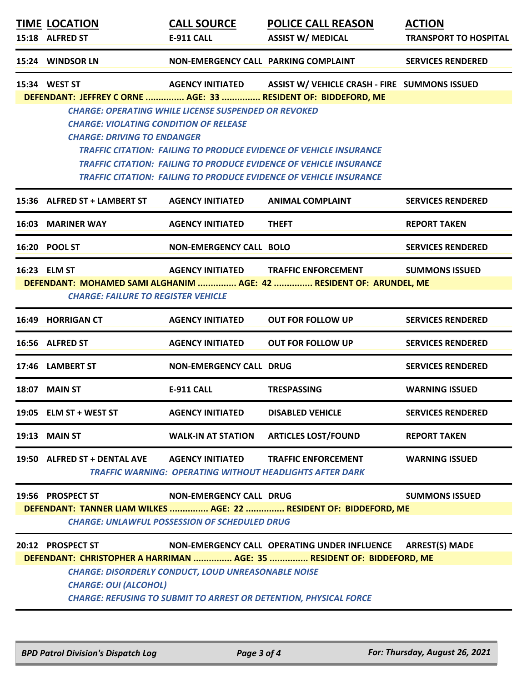| <b>TIME LOCATION</b><br>15:18 ALFRED ST                                                                                                                                                                                                                                                                                                        | <b>CALL SOURCE</b><br><b>E-911 CALL</b>                                                | <b>POLICE CALL REASON</b><br><b>ASSIST W/ MEDICAL</b>                                                                                                                                                                               | <b>ACTION</b><br><b>TRANSPORT TO HOSPITAL</b> |  |  |
|------------------------------------------------------------------------------------------------------------------------------------------------------------------------------------------------------------------------------------------------------------------------------------------------------------------------------------------------|----------------------------------------------------------------------------------------|-------------------------------------------------------------------------------------------------------------------------------------------------------------------------------------------------------------------------------------|-----------------------------------------------|--|--|
| 15:24 WINDSOR LN                                                                                                                                                                                                                                                                                                                               | NON-EMERGENCY CALL PARKING COMPLAINT                                                   |                                                                                                                                                                                                                                     | <b>SERVICES RENDERED</b>                      |  |  |
| 15:34 WEST ST                                                                                                                                                                                                                                                                                                                                  |                                                                                        | AGENCY INITIATED ASSIST W/ VEHICLE CRASH - FIRE SUMMONS ISSUED<br>DEFENDANT: JEFFREY C ORNE  AGE: 33  RESIDENT OF: BIDDEFORD, ME                                                                                                    |                                               |  |  |
| <b>CHARGE: VIOLATING CONDITION OF RELEASE</b><br><b>CHARGE: DRIVING TO ENDANGER</b>                                                                                                                                                                                                                                                            | <b>CHARGE: OPERATING WHILE LICENSE SUSPENDED OR REVOKED</b>                            | <b>TRAFFIC CITATION: FAILING TO PRODUCE EVIDENCE OF VEHICLE INSURANCE</b><br><b>TRAFFIC CITATION: FAILING TO PRODUCE EVIDENCE OF VEHICLE INSURANCE</b><br><b>TRAFFIC CITATION: FAILING TO PRODUCE EVIDENCE OF VEHICLE INSURANCE</b> |                                               |  |  |
| 15:36 ALFRED ST + LAMBERT ST                                                                                                                                                                                                                                                                                                                   | <b>AGENCY INITIATED</b>                                                                | <b>ANIMAL COMPLAINT</b>                                                                                                                                                                                                             | <b>SERVICES RENDERED</b>                      |  |  |
| <b>16:03 MARINER WAY</b>                                                                                                                                                                                                                                                                                                                       | <b>AGENCY INITIATED</b>                                                                | <b>THEFT</b>                                                                                                                                                                                                                        | <b>REPORT TAKEN</b>                           |  |  |
| 16:20 POOL ST                                                                                                                                                                                                                                                                                                                                  | <b>NON-EMERGENCY CALL BOLO</b>                                                         |                                                                                                                                                                                                                                     | <b>SERVICES RENDERED</b>                      |  |  |
| 16:23 ELM ST<br><b>CHARGE: FAILURE TO REGISTER VEHICLE</b>                                                                                                                                                                                                                                                                                     | <b>AGENCY INITIATED</b>                                                                | <b>TRAFFIC ENFORCEMENT</b><br>DEFENDANT: MOHAMED SAMI ALGHANIM  AGE: 42  RESIDENT OF: ARUNDEL, ME                                                                                                                                   | <b>SUMMONS ISSUED</b>                         |  |  |
| 16:49 HORRIGAN CT                                                                                                                                                                                                                                                                                                                              | <b>AGENCY INITIATED</b>                                                                | <b>OUT FOR FOLLOW UP</b>                                                                                                                                                                                                            | <b>SERVICES RENDERED</b>                      |  |  |
| 16:56 ALFRED ST                                                                                                                                                                                                                                                                                                                                | <b>AGENCY INITIATED</b>                                                                | <b>OUT FOR FOLLOW UP</b>                                                                                                                                                                                                            | <b>SERVICES RENDERED</b>                      |  |  |
| 17:46 LAMBERT ST                                                                                                                                                                                                                                                                                                                               | <b>NON-EMERGENCY CALL DRUG</b>                                                         |                                                                                                                                                                                                                                     | <b>SERVICES RENDERED</b>                      |  |  |
| 18:07 MAIN ST                                                                                                                                                                                                                                                                                                                                  | <b>E-911 CALL</b>                                                                      | <b>TRESPASSING</b>                                                                                                                                                                                                                  | <b>WARNING ISSUED</b>                         |  |  |
| 19:05 ELM ST + WEST ST                                                                                                                                                                                                                                                                                                                         | <b>AGENCY INITIATED</b>                                                                | <b>DISABLED VEHICLE</b>                                                                                                                                                                                                             | <b>SERVICES RENDERED</b>                      |  |  |
| <b>19:13 MAIN ST</b>                                                                                                                                                                                                                                                                                                                           | <b>WALK-IN AT STATION</b>                                                              | <b>ARTICLES LOST/FOUND</b>                                                                                                                                                                                                          | <b>REPORT TAKEN</b>                           |  |  |
| 19:50 ALFRED ST + DENTAL AVE                                                                                                                                                                                                                                                                                                                   | <b>AGENCY INITIATED</b>                                                                | <b>TRAFFIC ENFORCEMENT</b><br><b>TRAFFIC WARNING: OPERATING WITHOUT HEADLIGHTS AFTER DARK</b>                                                                                                                                       | <b>WARNING ISSUED</b>                         |  |  |
| 19:56 PROSPECT ST                                                                                                                                                                                                                                                                                                                              | <b>NON-EMERGENCY CALL DRUG</b><br><b>CHARGE: UNLAWFUL POSSESSION OF SCHEDULED DRUG</b> | DEFENDANT: TANNER LIAM WILKES  AGE: 22  RESIDENT OF: BIDDEFORD, ME                                                                                                                                                                  | <b>SUMMONS ISSUED</b>                         |  |  |
| NON-EMERGENCY CALL OPERATING UNDER INFLUENCE<br><b>ARREST(S) MADE</b><br>20:12 PROSPECT ST<br>DEFENDANT: CHRISTOPHER A HARRIMAN  AGE: 35  RESIDENT OF: BIDDEFORD, ME<br><b>CHARGE: DISORDERLY CONDUCT, LOUD UNREASONABLE NOISE</b><br><b>CHARGE: OUI (ALCOHOL)</b><br><b>CHARGE: REFUSING TO SUBMIT TO ARREST OR DETENTION, PHYSICAL FORCE</b> |                                                                                        |                                                                                                                                                                                                                                     |                                               |  |  |